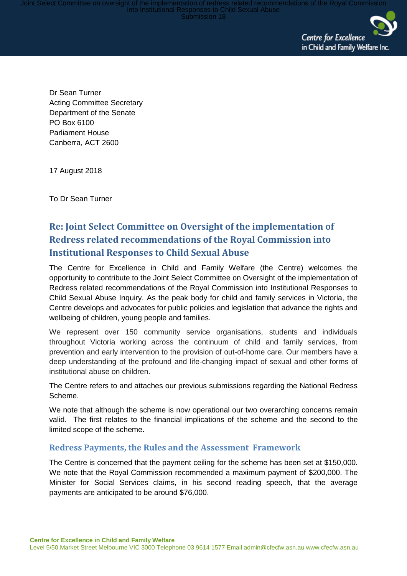Dommittee on oversight of the implementation of redress related recommendations of the Royal Commission<br>into Institutional Responses to Child Sexual Abuse<br>Submission 18



Dr Sean Turner Acting Committee Secretary Department of the Senate PO Box 6100 Parliament House Canberra, ACT 2600

17 August 2018

To Dr Sean Turner

## **Re: Joint Select Committee on Oversight of the implementation of Redress related recommendations of the Royal Commission into Institutional Responses to Child Sexual Abuse**

The Centre for Excellence in Child and Family Welfare (the Centre) welcomes the opportunity to contribute to the Joint Select Committee on Oversight of the implementation of Redress related recommendations of the Royal Commission into Institutional Responses to Child Sexual Abuse Inquiry. As the peak body for child and family services in Victoria, the Centre develops and advocates for public policies and legislation that advance the rights and wellbeing of children, young people and families.

We represent over 150 community service organisations, students and individuals throughout Victoria working across the continuum of child and family services, from prevention and early intervention to the provision of out-of-home care. Our members have a deep understanding of the profound and life-changing impact of sexual and other forms of institutional abuse on children.

The Centre refers to and attaches our previous submissions regarding the National Redress Scheme.

We note that although the scheme is now operational our two overarching concerns remain valid. The first relates to the financial implications of the scheme and the second to the limited scope of the scheme.

## **Redress Payments, the Rules and the Assessment Framework**

The Centre is concerned that the payment ceiling for the scheme has been set at \$150,000. We note that the Royal Commission recommended a maximum payment of \$200,000. The Minister for Social Services claims, in his second reading speech, that the average payments are anticipated to be around \$76,000.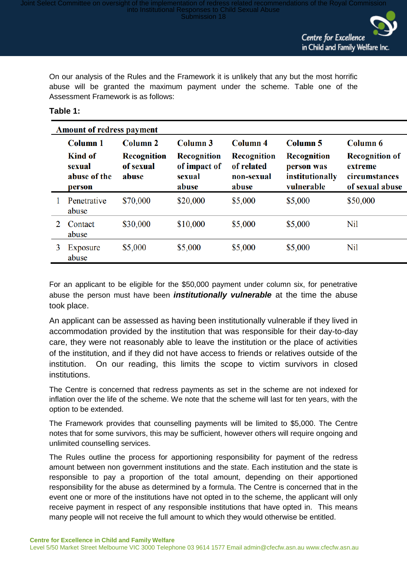it of the implementation of redress related recommendations of the Royal Commission<br>into Institutional Responses to Child Sexual Abuse<br>Submission 18

Centre for Excellence in Child and Family Welfare Inc.

On our analysis of the Rules and the Framework it is unlikely that any but the most horrific abuse will be granted the maximum payment under the scheme. Table one of the Assessment Framework is as follows:

## **Table 1:**

| <b>Amount of redress payment</b> |                                             |                                          |                                                       |                                                         |                                                                   |                                                                      |
|----------------------------------|---------------------------------------------|------------------------------------------|-------------------------------------------------------|---------------------------------------------------------|-------------------------------------------------------------------|----------------------------------------------------------------------|
|                                  | Column 1                                    | Column 2                                 | Column <sub>3</sub>                                   | Column 4                                                | Column <sub>5</sub>                                               | <b>Column 6</b>                                                      |
|                                  | Kind of<br>sexual<br>abuse of the<br>person | <b>Recognition</b><br>of sexual<br>abuse | <b>Recognition</b><br>of impact of<br>sexual<br>abuse | <b>Recognition</b><br>of related<br>non-sexual<br>abuse | <b>Recognition</b><br>person was<br>institutionally<br>vulnerable | <b>Recognition of</b><br>extreme<br>circumstances<br>of sexual abuse |
|                                  | Penetrative<br>abuse                        | \$70,000                                 | \$20,000                                              | \$5,000                                                 | \$5,000                                                           | \$50,000                                                             |
| $\mathcal{D}$                    | Contact<br>abuse                            | \$30,000                                 | \$10,000                                              | \$5,000                                                 | \$5,000                                                           | Nil                                                                  |
| 3                                | Exposure<br>abuse                           | \$5,000                                  | \$5,000                                               | \$5,000                                                 | \$5,000                                                           | Nil                                                                  |

For an applicant to be eligible for the \$50,000 payment under column six, for penetrative abuse the person must have been *institutionally vulnerable* at the time the abuse took place.

An applicant can be assessed as having been institutionally vulnerable if they lived in accommodation provided by the institution that was responsible for their day-to-day care, they were not reasonably able to leave the institution or the place of activities of the institution, and if they did not have access to friends or relatives outside of the institution. On our reading, this limits the scope to victim survivors in closed institutions.

The Centre is concerned that redress payments as set in the scheme are not indexed for inflation over the life of the scheme. We note that the scheme will last for ten years, with the option to be extended.

The Framework provides that counselling payments will be limited to \$5,000. The Centre notes that for some survivors, this may be sufficient, however others will require ongoing and unlimited counselling services.

The Rules outline the process for apportioning responsibility for payment of the redress amount between non government institutions and the state. Each institution and the state is responsible to pay a proportion of the total amount, depending on their apportioned responsibility for the abuse as determined by a formula. The Centre is concerned that in the event one or more of the institutions have not opted in to the scheme, the applicant will only receive payment in respect of any responsible institutions that have opted in. This means many people will not receive the full amount to which they would otherwise be entitled.